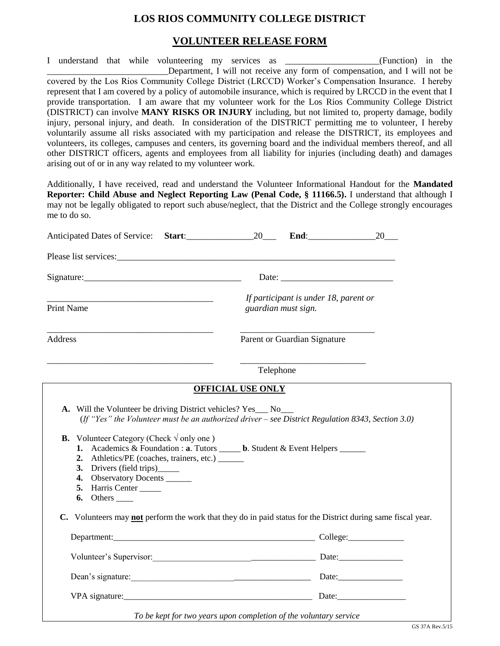## **LOS RIOS COMMUNITY COLLEGE DISTRICT**

## **VOLUNTEER RELEASE FORM**

I understand that while volunteering my services as \_\_\_\_\_\_\_\_\_\_\_\_\_\_\_\_\_\_\_\_\_(Function) in the Department, I will not receive any form of compensation, and I will not be covered by the Los Rios Community College District (LRCCD) Worker's Compensation Insurance. I hereby represent that I am covered by a policy of automobile insurance, which is required by LRCCD in the event that I provide transportation. I am aware that my volunteer work for the Los Rios Community College District (DISTRICT) can involve **MANY RISKS OR INJURY** including, but not limited to, property damage, bodily injury, personal injury, and death. In consideration of the DISTRICT permitting me to volunteer, I hereby voluntarily assume all risks associated with my participation and release the DISTRICT, its employees and volunteers, its colleges, campuses and centers, its governing board and the individual members thereof, and all other DISTRICT officers, agents and employees from all liability for injuries (including death) and damages arising out of or in any way related to my volunteer work.

Additionally, I have received, read and understand the Volunteer Informational Handout for the **Mandated Reporter: Child Abuse and Neglect Reporting Law (Penal Code, § 11166.5).** I understand that although I may not be legally obligated to report such abuse/neglect, that the District and the College strongly encourages me to do so.

|                                                                                                                                                                                                                                                                                                                                                                                               | 20                                                                                                                                                                                                                             |  |  |  |
|-----------------------------------------------------------------------------------------------------------------------------------------------------------------------------------------------------------------------------------------------------------------------------------------------------------------------------------------------------------------------------------------------|--------------------------------------------------------------------------------------------------------------------------------------------------------------------------------------------------------------------------------|--|--|--|
| Please list services: experience of the services of the services of the services of the services of the services of the services of the services of the services of the services of the services of the services of the servic                                                                                                                                                                |                                                                                                                                                                                                                                |  |  |  |
| Signature:                                                                                                                                                                                                                                                                                                                                                                                    |                                                                                                                                                                                                                                |  |  |  |
| <b>Print Name</b>                                                                                                                                                                                                                                                                                                                                                                             | If participant is under 18, parent or<br>guardian must sign.                                                                                                                                                                   |  |  |  |
| Address                                                                                                                                                                                                                                                                                                                                                                                       | Parent or Guardian Signature                                                                                                                                                                                                   |  |  |  |
|                                                                                                                                                                                                                                                                                                                                                                                               | Telephone                                                                                                                                                                                                                      |  |  |  |
|                                                                                                                                                                                                                                                                                                                                                                                               | <b>OFFICIAL USE ONLY</b>                                                                                                                                                                                                       |  |  |  |
| A. Will the Volunteer be driving District vehicles? Yes___ No___<br><b>B.</b> Volunteer Category (Check $\sqrt{}$ only one)<br>1. Academics & Foundation : a. Tutors ______ b. Student & Event Helpers ______<br>2. Athletics/PE (coaches, trainers, etc.) _______<br>3. Drivers (field trips)_______<br>4. Observatory Docents ______<br>5. Harris Center<br>$6.$ Others $\_\_\_\_\_\_\_\_\$ | (If "Yes" the Volunteer must be an authorized driver – see District Regulation 8343, Section 3.0)                                                                                                                              |  |  |  |
|                                                                                                                                                                                                                                                                                                                                                                                               | C. Volunteers may <b>not</b> perform the work that they do in paid status for the District during same fiscal year.                                                                                                            |  |  |  |
|                                                                                                                                                                                                                                                                                                                                                                                               | Department: College: College: College: College: College: College: College: College: College: College: College: College: College: College: College: College: College: College: College: College: College: College: College: Col |  |  |  |
|                                                                                                                                                                                                                                                                                                                                                                                               | Volunteer's Supervisor: Date: Date:                                                                                                                                                                                            |  |  |  |
|                                                                                                                                                                                                                                                                                                                                                                                               | Dean's signature: Dean's signature:                                                                                                                                                                                            |  |  |  |
|                                                                                                                                                                                                                                                                                                                                                                                               | VPA signature: Date: Date:                                                                                                                                                                                                     |  |  |  |
|                                                                                                                                                                                                                                                                                                                                                                                               | To be kept for two years upon completion of the voluntary service                                                                                                                                                              |  |  |  |